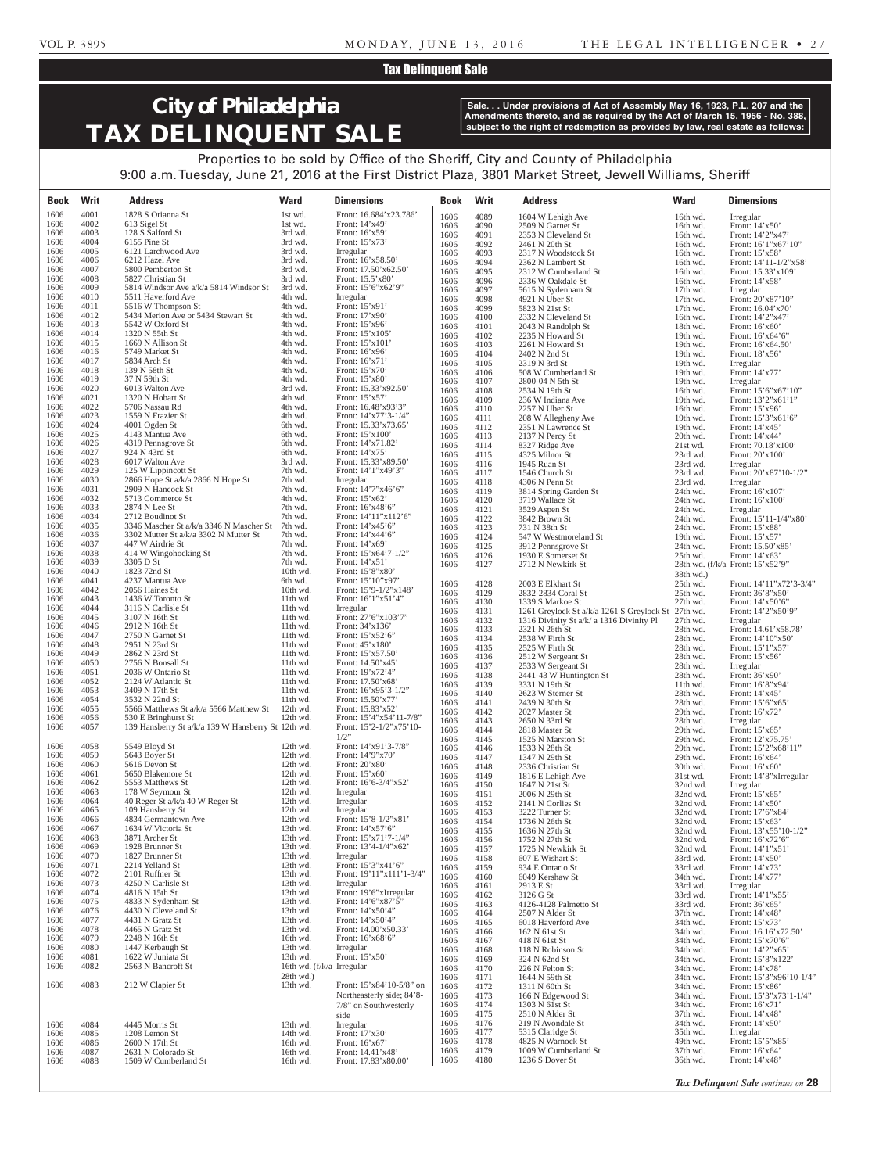## Tax Delinquent Sale

# **City of Philadelphia TAX DELINQUENT SALE**

**Sale. . . Under provisions of Act of Assembly May 16, 1923, P.L. 207 and the Amendments thereto, and as required by the Act of March 15, 1956 - No. 388, subject to the right of redemption as provided by law, real estate as follows:**

Properties to be sold by Office of the Sheriff, City and County of Philadelphia 9:00 a.m. Tuesday, June 21, 2016 at the First District Plaza, 3801 Market Street, Jewell Williams, Sheriff

| <b>Book</b>  | Writ         | <b>Address</b>                                                | <b>Ward</b>                                 | <b>Dimensions</b>                                | Book         | Writ         | <b>Address</b>                                             | <b>Ward</b>          | <b>Dimensions</b>                                  |
|--------------|--------------|---------------------------------------------------------------|---------------------------------------------|--------------------------------------------------|--------------|--------------|------------------------------------------------------------|----------------------|----------------------------------------------------|
| 1606         | 4001         | 1828 S Orianna St                                             | 1st wd.                                     | Front: 16.684'x23.786'                           | 1606         | 4089         | 1604 W Lehigh Ave                                          | 16th wd.             | Irregular                                          |
| 1606<br>1606 | 4002<br>4003 | 613 Sigel St<br>128 S Salford St                              | 1st wd.<br>3rd wd.                          | Front: 14'x49'<br>Front: $16'x59'$               | 1606<br>1606 | 4090<br>4091 | 2509 N Garnet St<br>2353 N Cleveland St                    | 16th wd.<br>16th wd. | Front: $14'x50'$<br>Front: 14'2"x47'               |
| 1606         | 4004         | 6155 Pine St                                                  | 3rd wd.                                     | Front: 15'x73'                                   | 1606         | 4092         | 2461 N 20th St                                             | 16th wd.             | Front: $16'1''x67'10''$                            |
| 1606<br>1606 | 4005<br>4006 | 6121 Larchwood Ave                                            | 3rd wd.<br>3rd wd.                          | Irregular                                        | 1606         | 4093         | 2317 N Woodstock St                                        | 16th wd.             | Front: 15'x58'                                     |
| 1606         | 4007         | 6212 Hazel Ave<br>5800 Pemberton St                           | 3rd wd.                                     | Front: 16'x58.50'<br>Front: 17.50'x62.50'        | 1606<br>1606 | 4094<br>4095 | 2362 N Lambert St<br>2312 W Cumberland St                  | 16th wd.<br>16th wd. | Front: $14'11-1/2''x58'$<br>Front: 15.33'x109'     |
| 1606         | 4008         | 5827 Christian St                                             | 3rd wd.                                     | Front: 15.5'x80'                                 | 1606         | 4096         | 2336 W Oakdale St                                          | 16th wd.             | Front: 14'x58'                                     |
| 1606<br>1606 | 4009<br>4010 | 5814 Windsor Ave a/k/a 5814 Windsor St<br>5511 Haverford Ave  | 3rd wd.<br>4th wd.                          | Front: 15'6"x62'9"<br>Irregular                  | 1606         | 4097         | 5615 N Sydenham St                                         | 17th wd.             | Irregular                                          |
| 1606         | 4011         | 5516 W Thompson St                                            | 4th wd.                                     | Front: 15'x91'                                   | 1606<br>1606 | 4098<br>4099 | 4921 N Uber St<br>5823 N 21st St                           | 17th wd.<br>17th wd. | Front: 20'x87'10"<br>Front: 16.04'x70'             |
| 1606         | 4012         | 5434 Merion Ave or 5434 Stewart St                            | 4th wd.                                     | Front: 17'x90'                                   | 1606         | 4100         | 2332 N Cleveland St                                        | 16th wd.             | Front: 14'2"x47'                                   |
| 1606<br>1606 | 4013<br>4014 | 5542 W Oxford St<br>1320 N 55th St                            | 4th wd.<br>4th wd.                          | Front: 15'x96'<br>Front: 15'x105'                | 1606         | 4101         | 2043 N Randolph St                                         | 18th wd.             | Front: $16'x60'$                                   |
| 1606         | 4015         | 1669 N Allison St                                             | 4th wd.                                     | Front: $15'x101'$                                | 1606<br>1606 | 4102<br>4103 | 2235 N Howard St<br>2261 N Howard St                       | 19th wd.<br>19th wd. | Front: 16'x64'6"<br>Front: $16'x64.50'$            |
| 1606         | 4016         | 5749 Market St                                                | 4th wd.                                     | Front: 16'x96'                                   | 1606         | 4104         | 2402 N 2nd St                                              | 19th wd.             | Front: 18'x56'                                     |
| 1606<br>1606 | 4017<br>4018 | 5834 Arch St<br>139 N 58th St                                 | 4th wd.<br>4th wd.                          | Front: $16'x71'$<br>Front: 15'x70'               | 1606         | 4105         | 2319 N 3rd St                                              | 19th wd.             | Irregular                                          |
| 1606         | 4019         | 37 N 59th St                                                  | 4th wd.                                     | Front: 15'x80'                                   | 1606<br>1606 | 4106<br>4107 | 508 W Cumberland St<br>2800-04 N 5th St                    | 19th wd.<br>19th wd. | Front: 14'x77'<br>Irregular                        |
| 1606         | 4020         | 6013 Walton Ave                                               | 3rd wd.                                     | Front: 15.33'x92.50'                             | 1606         | 4108         | 2534 N 19th St                                             | 16th wd.             | Front: $15'6''x67'10''$                            |
| 1606<br>1606 | 4021<br>4022 | 1320 N Hobart St<br>5706 Nassau Rd                            | 4th wd.<br>4th wd.                          | Front: 15'x57'<br>Front: 16.48'x93'3"            | 1606<br>1606 | 4109<br>4110 | 236 W Indiana Ave<br>2257 N Uber St                        | 19th wd.<br>16th wd. | Front: 13'2"x61'1"<br>Front: 15'x96'               |
| 1606         | 4023         | 1559 N Frazier St                                             | 4th wd.                                     | Front: $14'x77'3-1/4"$                           | 1606         | 4111         | 208 W Allegheny Ave                                        | 19th wd.             | Front: 15'3"x61'6"                                 |
| 1606         | 4024<br>4025 | 4001 Ogden St                                                 | 6th wd.                                     | Front: 15.33'x73.65'                             | 1606         | 4112         | 2351 N Lawrence St                                         | 19th wd.             | Front: 14'x45'                                     |
| 1606<br>1606 | 4026         | 4143 Mantua Ave<br>4319 Pennsgrove St                         | 6th wd.<br>6th wd.                          | Front: $15'x100'$<br>Front: 14'x71.82'           | 1606<br>1606 | 4113<br>4114 | 2137 N Percy St<br>8327 Ridge Ave                          | 20th wd.<br>21st wd. | Front: 14'x44'<br>Front: 70.18'x100'               |
| 1606         | 4027         | 924 N 43rd St                                                 | 6th wd.                                     | Front: $14'x75'$                                 | 1606         | 4115         | 4325 Milnor St                                             | 23rd wd.             | Front: $20'x100'$                                  |
| 1606<br>1606 | 4028<br>4029 | 6017 Walton Ave<br>125 W Lippincott St                        | 3rd wd.<br>7th wd.                          | Front: 15.33'x89.50'<br>Front: 14'1"x49'3"       | 1606         | 4116         | 1945 Ruan St                                               | 23rd wd.             | Irregular                                          |
| 1606         | 4030         | 2866 Hope St a/k/a 2866 N Hope St                             | 7th wd.                                     | Irregular                                        | 1606<br>1606 | 4117<br>4118 | 1546 Church St<br>4306 N Penn St                           | 23rd wd.<br>23rd wd. | Front: $20'x87'10-1/2"$<br>Irregular               |
| 1606         | 4031         | 2909 N Hancock St                                             | 7th wd.                                     | Front: 14'7"x46'6"                               | 1606         | 4119         | 3814 Spring Garden St                                      | 24th wd.             | Front: 16'x107'                                    |
| 1606<br>1606 | 4032<br>4033 | 5713 Commerce St<br>2874 N Lee St                             | 4th wd.<br>7th wd.                          | Front: 15'x62'<br>Front: 16'x48'6"               | 1606         | 4120         | 3719 Wallace St                                            | 24th wd.             | Front: $16'x100'$                                  |
| 1606         | 4034         | 2712 Boudinot St                                              | 7th wd.                                     | Front: 14'11"x112'6"                             | 1606<br>1606 | 4121<br>4122 | 3529 Aspen St<br>3842 Brown St                             | 24th wd.<br>24th wd. | Irregular<br>Front: $15'11-1/4''x80'$              |
| 1606         | 4035         | 3346 Mascher St a/k/a 3346 N Mascher St                       | 7th wd.                                     | Front: $14'x45'6''$                              | 1606         | 4123         | 731 N 38th St                                              | 24th wd.             | Front: 15'x88'                                     |
| 1606<br>1606 | 4036<br>4037 | 3302 Mutter St a/k/a 3302 N Mutter St<br>447 W Airdrie St     | 7th wd.<br>7th wd.                          | Front: $14'x44'6"$<br>Front: 14'x69'             | 1606         | 4124         | 547 W Westmoreland St                                      | 19th wd.             | Front: $15'x57'$                                   |
| 1606         | 4038         | 414 W Wingohocking St                                         | 7th wd.                                     | Front: $15'x64'7-1/2"$                           | 1606<br>1606 | 4125<br>4126 | 3912 Pennsgrove St<br>1930 E Somerset St                   | 24th wd.<br>25th wd. | Front: 15.50'x85'<br>Front: 14'x63'                |
| 1606         | 4039         | 3305 D St                                                     | 7th wd.                                     | Front: $14'x51'$                                 | 1606         | 4127         | 2712 N Newkirk St                                          |                      | 28th wd. $(f/k/a)$ Front: $15^\circ x52^\circ 9$ " |
| 1606<br>1606 | 4040<br>4041 | 1823 72nd St<br>4237 Mantua Ave                               | 10th wd.<br>6th wd.                         | Front: 15'8"x80'<br>Front: 15'10"x97'            |              |              |                                                            | 38th wd.)            |                                                    |
| 1606         | 4042         | 2056 Haines St                                                | 10th wd.                                    | Front: $15'9-1/2''x148'$                         | 1606<br>1606 | 4128<br>4129 | 2003 E Elkhart St<br>2832-2834 Coral St                    | 25th wd.<br>25th wd. | Front: 14'11"x72'3-3/4"<br>Front: 36'8"x50'        |
| 1606         | 4043         | 1436 W Toronto St                                             | $11th$ wd.                                  | Front: 16'1"x51'4"                               | 1606         | 4130         | 1339 S Markoe St                                           | 27th wd.             | Front: $14'$ x50'6"                                |
| 1606<br>1606 | 4044<br>4045 | 3116 N Carlisle St<br>3107 N 16th St                          | 11th wd.<br>$11th$ wd.                      | Irregular<br>Front: 27'6"x103'7"                 | 1606         | 4131         | 1261 Greylock St a/k/a 1261 S Greylock St                  | $27th$ wd.           | Front: 14'2"x50'9"                                 |
| 1606         | 4046         | 2912 N 16th St                                                | 11th wd.                                    | Front: 34'x136'                                  | 1606<br>1606 | 4132<br>4133 | 1316 Divinity St a/k/ a 1316 Divinity Pl<br>2321 N 26th St | 27th wd.<br>28th wd. | Irregular<br>Front: 14.61'x58.78'                  |
| 1606         | 4047         | 2750 N Garnet St                                              | $11th$ wd.                                  | Front: 15'x52'6"                                 | 1606         | 4134         | 2538 W Firth St                                            | 28th wd.             | Front: 14'10"x50'                                  |
| 1606<br>1606 | 4048<br>4049 | 2951 N 23rd St<br>2862 N 23rd St                              | $11th$ wd.<br>$11th$ wd.                    | Front: 45'x180'<br>Front: 15'x57.50'             | 1606         | 4135         | 2525 W Firth St                                            | 28th wd.             | Front: $15'1''x57'$                                |
| 1606         | 4050         | 2756 N Bonsall St                                             | $11th$ wd.                                  | Front: 14.50'x45'                                | 1606<br>1606 | 4136<br>4137 | 2512 W Sergeant St<br>2533 W Sergeant St                   | 28th wd.<br>28th wd. | Front: 15'x56'<br>Irregular                        |
| 1606         | 4051         | 2036 W Ontario St                                             | $11th$ wd.                                  | Front: $19'x72'4"$                               | 1606         | 4138         | 2441-43 W Huntington St                                    | 28th wd.             | Front: $36'x90'$                                   |
| 1606<br>1606 | 4052<br>4053 | 2124 W Atlantic St<br>3409 N 17th St                          | 11th wd.<br>11th wd.                        | Front: 17.50'x68'<br>Front: $16'x95'3-1/2"$      | 1606         | 4139         | 3331 N 19th St<br>2623 W Sterner St                        | 11th wd.             | Front: 16'8"x94'<br>Front: 14'x45'                 |
| 1606         | 4054         | 3532 N 22nd St                                                | $11th$ wd.                                  | Front: 15.50'x77'                                | 1606<br>1606 | 4140<br>4141 | 2439 N 30th St                                             | 28th wd.<br>28th wd. | Front: 15'6"x65'                                   |
| 1606<br>1606 | 4055<br>4056 | 5566 Matthews St a/k/a 5566 Matthew St<br>530 E Bringhurst St | $12th$ wd.<br>12th wd.                      | Front: 15.83'x52'<br>Front: 15'4"x54'11-7/8"     | 1606         | 4142         | 2027 Master St                                             | 29th wd.             | Front: 16'x72'                                     |
| 1606         | 4057         | 139 Hansberry St a/k/a 139 W Hansberry St 12th wd.            |                                             | Front: $15'2-1/2''x75'10-$                       | 1606<br>1606 | 4143<br>4144 | 2650 N 33rd St<br>2818 Master St                           | 28th wd.<br>29th wd. | Irregular<br>Front: 15'x65'                        |
|              |              |                                                               |                                             | $1/2$ "                                          | 1606         | 4145         | 1525 N Marston St                                          | 29th wd.             | Front: 12'x75.75'                                  |
| 1606<br>1606 | 4058<br>4059 | 5549 Bloyd St<br>5643 Boyer St                                | 12th wd.<br>12th wd.                        | Front: $14'x91'3-7/8"$<br>Front: 14'9"x70'       | 1606         | 4146         | 1533 N 28th St                                             | 29th wd.             | Front: 15'2"x68'11"                                |
| 1606         | 4060         | 5616 Devon St                                                 | 12th wd.                                    | Front: 20'x80'                                   | 1606<br>1606 | 4147<br>4148 | 1347 N 29th St<br>2336 Christian St                        | 29th wd.<br>30th wd. | Front: 16'x64'<br>Front: $16'x60'$                 |
| 1606         | 4061         | 5650 Blakemore St                                             | 12th wd.                                    | Front: $15'x60'$                                 | 1606         | 4149         | 1816 E Lehigh Ave                                          | 31st wd.             | Front: 14'8"xIrregular                             |
| 1606<br>1606 | 4062<br>4063 | 5553 Matthews St<br>178 W Seymour St                          | 12th wd.<br>12th wd.                        | Front: $16'6-3/4''x52'$<br>Irregular             | 1606         | 4150         | 1847 N 21st St                                             | 32nd wd.             | Irregular                                          |
| 1606         | 4064         | 40 Reger St a/k/a 40 W Reger St                               | 12th wd.                                    | Irregular                                        | 1606<br>1606 | 4151<br>4152 | 2006 N 29th St<br>2141 N Corlies St                        | 32nd wd.<br>32nd wd. | Front: $15'x65'$<br>Front: 14'x50'                 |
| 1606         | 4065         | 109 Hansberry St                                              | 12th wd.                                    | Irregular                                        | 1606         | 4153         | 3222 Turner St                                             | 32nd wd.             | Front: 17'6"x84"                                   |
| 1606<br>1606 | 4066<br>4067 | 4834 Germantown Ave<br>1634 W Victoria St                     | 12th wd.<br>13th wd.                        | Front: 15'8-1/2"x81'<br>Front: $14'$ x57'6"      | 1606         | 4154         | 1736 N 26th St                                             | 32nd wd.             | Front: $15'x63'$                                   |
| 1606         | 4068         | 3871 Archer St                                                | 13th wd.                                    | Front: $15'x71'7-1/4"$                           | 1606<br>1606 | 4155<br>4156 | 1636 N 27th St<br>1752 N 27th St                           | 32nd wd.<br>32nd wd. | Front: 13'x55'10-1/2"<br>Front: $16'x72'6''$       |
| 1606         | 4069         | 1928 Brunner St                                               | 13th wd.                                    | Front: 13'4-1/4"x62'                             | 1606         | 4157         | 1725 N Newkirk St                                          | 32nd wd.             | Front: 14'1"x51'                                   |
| 1606<br>1606 | 4070<br>4071 | 1827 Brunner St<br>2214 Yelland St                            | 13th wd.<br>13th wd.                        | Irregular<br>Front: 15'3"x41'6"                  | 1606         | 4158         | 607 E Wishart St<br>934 E Ontario St                       | 33rd wd.<br>33rd wd. | Front: 14'x50'                                     |
| 1606         | 4072         | 2101 Ruffner St                                               | 13th wd.                                    | Front: 19'11"x111'1-3/4"                         | 1606<br>1606 | 4159<br>4160 | 6049 Kershaw St                                            | 34th wd.             | Front: 14'x73'<br>Front: 14'x77'                   |
| 1606         | 4073         | 4250 N Carlisle St                                            | 13th wd.                                    | Irregular                                        | 1606         | 4161         | 2913 E St                                                  | 33rd wd.             | Irregular                                          |
| 1606<br>1606 | 4074<br>4075 | 4816 N 15th St<br>4833 N Sydenham St                          | 13th wd.<br>13th wd.                        | Front: 19'6"xIrregular<br>Front: $14'6''x87'5''$ | 1606<br>1606 | 4162<br>4163 | 3126 G St                                                  | 33rd wd.<br>33rd wd. | Front: $14'1''x55'$                                |
| 1606         | 4076         | 4430 N Cleveland St                                           | 13th wd.                                    | Front: 14'x50'4"                                 | 1606         | 4164         | 4126-4128 Palmetto St<br>2507 N Alder St                   | 37th wd.             | Front: 36'x65'<br>Front: $14'x48'$                 |
| 1606         | 4077         | 4431 N Gratz St<br>4465 N Gratz St                            | 13th wd.<br>13th wd.                        | Front: 14'x50'4"                                 | 1606         | 4165         | 6018 Haverford Ave                                         | 34th wd.             | Front: 15'x73'                                     |
| 1606<br>1606 | 4078<br>4079 | 2248 N 16th St                                                | 16th wd.                                    | Front: 14.00'x50.33'<br>Front: 16'x68'6"         | 1606<br>1606 | 4166<br>4167 | 162 N 61st St<br>418 N 61st St                             | 34th wd.<br>34th wd. | Front: 16.16'x72.50'<br>Front: 15'x70'6"           |
| 1606         | 4080         | 1447 Kerbaugh St                                              | 13th wd.                                    | Irregular                                        | 1606         | 4168         | 118 N Robinson St                                          | 34th wd.             | Front: 14'2"x65'                                   |
| 1606         | 4081         | 1622 W Juniata St                                             | 13th wd.                                    | Front: $15'x50'$                                 | 1606         | 4169         | 324 N 62nd St                                              | 34th wd.             | Front: 15'8"x122'                                  |
| 1606         | 4082         | 2563 N Bancroft St                                            | 16th wd. $(f/k/a)$ Irregular<br>$28th$ wd.) |                                                  | 1606<br>1606 | 4170<br>4171 | 226 N Felton St<br>1644 N 59th St                          | 34th wd.<br>34th wd. | Front: 14'x78'<br>Front: 15'3"x96'10-1/4"          |
| 1606         | 4083         | 212 W Clapier St                                              | 13th wd.                                    | Front: 15'x84'10-5/8" on                         | 1606         | 4172         | 1311 N 60th St                                             | 34th wd.             | Front: 15'x86'                                     |
|              |              |                                                               |                                             | Northeasterly side; 84'8-                        | 1606         | 4173         | 166 N Edgewood St                                          | 34th wd.             | Front: $15'3''x73'1-1/4"$                          |
|              |              |                                                               |                                             | 7/8" on Southwesterly                            | 1606<br>1606 | 4174<br>4175 | 1303 N 61st St<br>2510 N Alder St                          | 34th wd.<br>37th wd. | Front: 16'x71'<br>Front: 14'x48'                   |
| 1606         | 4084         | 4445 Morris St                                                | 13th wd.                                    | side<br>Irregular                                | 1606         | 4176         | 219 N Avondale St                                          | 34th wd.             | Front: 14'x50'                                     |
| 1606         | 4085         | 1208 Lemon St                                                 | 14th wd.                                    | Front: 17'x30'                                   | 1606         | 4177         | 5315 Claridge St                                           | 35th wd.             | Irregular                                          |
| 1606<br>1606 | 4086<br>4087 | 2600 N 17th St<br>2631 N Colorado St                          | 16th wd.<br>16th wd.                        | Front: 16'x67'<br>Front: 14.41'x48'              | 1606<br>1606 | 4178<br>4179 | 4825 N Warnock St<br>1009 W Cumberland St                  | 49th wd.<br>37th wd. | Front: 15'5"x85'<br>Front: $16'x64'$               |
| 1606         | 4088         | 1509 W Cumberland St                                          | 16th wd.                                    | Front: 17.83'x80.00'                             | 1606         | 4180         | 1236 S Dover St                                            | 36th wd.             | Front: 14'x48'                                     |
|              |              |                                                               |                                             |                                                  |              |              |                                                            |                      |                                                    |

*Tax Delinquent Sale continues on* **28**